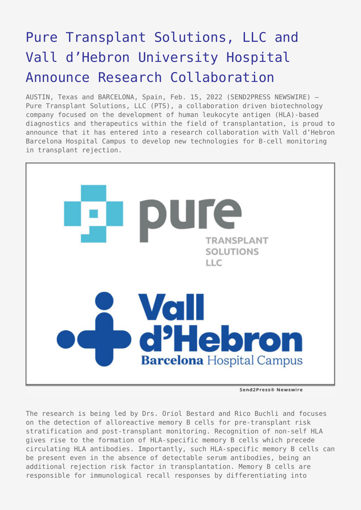## [Pure Transplant Solutions, LLC and](https://www.send2press.com/wire/pure-transplant-solutions-llc-and-vall-dhebron-university-hospital-announce-research-collaboration/) [Vall d'Hebron University Hospital](https://www.send2press.com/wire/pure-transplant-solutions-llc-and-vall-dhebron-university-hospital-announce-research-collaboration/) [Announce Research Collaboration](https://www.send2press.com/wire/pure-transplant-solutions-llc-and-vall-dhebron-university-hospital-announce-research-collaboration/)

AUSTIN, Texas and BARCELONA, Spain, Feb. 15, 2022 (SEND2PRESS NEWSWIRE) — Pure Transplant Solutions, LLC (PTS), a collaboration driven biotechnology company focused on the development of human leukocyte antigen (HLA)-based diagnostics and therapeutics within the field of transplantation, is proud to announce that it has entered into a research collaboration with Vall d'Hebron Barcelona Hospital Campus to develop new technologies for B-cell monitoring in transplant rejection.



Send2Press® Newswire

The research is being led by Drs. Oriol Bestard and Rico Buchli and focuses on the detection of alloreactive memory B cells for pre-transplant risk stratification and post-transplant monitoring. Recognition of non-self HLA gives rise to the formation of HLA-specific memory B cells which precede circulating HLA antibodies. Importantly, such HLA-specific memory B cells can be present even in the absence of detectable serum antibodies, being an additional rejection risk factor in transplantation. Memory B cells are responsible for immunological recall responses by differentiating into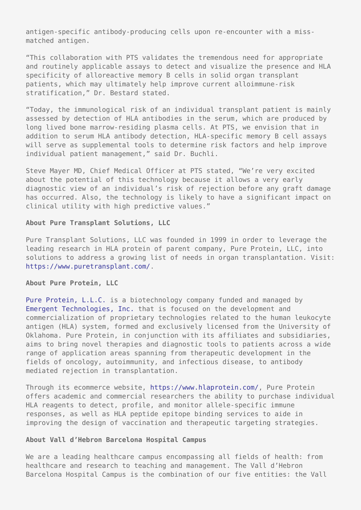antigen-specific antibody-producing cells upon re-encounter with a missmatched antigen.

"This collaboration with PTS validates the tremendous need for appropriate and routinely applicable assays to detect and visualize the presence and HLA specificity of alloreactive memory B cells in solid organ transplant patients, which may ultimately help improve current alloimmune-risk stratification," Dr. Bestard stated.

"Today, the immunological risk of an individual transplant patient is mainly assessed by detection of HLA antibodies in the serum, which are produced by long lived bone marrow-residing plasma cells. At PTS, we envision that in addition to serum HLA antibody detection, HLA-specific memory B cell assays will serve as supplemental tools to determine risk factors and help improve individual patient management," said Dr. Buchli.

Steve Mayer MD, Chief Medical Officer at PTS stated, "We're very excited about the potential of this technology because it allows a very early diagnostic view of an individual's risk of rejection before any graft damage has occurred. Also, the technology is likely to have a significant impact on clinical utility with high predictive values."

## **About Pure Transplant Solutions, LLC**

Pure Transplant Solutions, LLC was founded in 1999 in order to leverage the leading research in HLA protein of parent company, Pure Protein, LLC, into solutions to address a growing list of needs in organ transplantation. Visit: [https://www.puretransplant.com/.](https://www.puretransplant.com/)

## **About Pure Protein, LLC**

[Pure Protein, L.L.C.](http://www.pureproteinllc.com/) is a biotechnology company funded and managed by [Emergent Technologies, Inc.](http://www.etibio.com/) that is focused on the development and commercialization of proprietary technologies related to the human leukocyte antigen (HLA) system, formed and exclusively licensed from the University of Oklahoma. Pure Protein, in conjunction with its affiliates and subsidiaries, aims to bring novel therapies and diagnostic tools to patients across a wide range of application areas spanning from therapeutic development in the fields of oncology, autoimmunity, and infectious disease, to antibody mediated rejection in transplantation.

Through its ecommerce website, [https://www.hlaprotein.com/,](https://www.hlaprotein.com/) Pure Protein offers academic and commercial researchers the ability to purchase individual HLA reagents to detect, profile, and monitor allele-specific immune responses, as well as HLA peptide epitope binding services to aide in improving the design of vaccination and therapeutic targeting strategies.

## **About Vall d'Hebron Barcelona Hospital Campus**

We are a leading healthcare campus encompassing all fields of health: from healthcare and research to teaching and management. The Vall d'Hebron Barcelona Hospital Campus is the combination of our five entities: the Vall